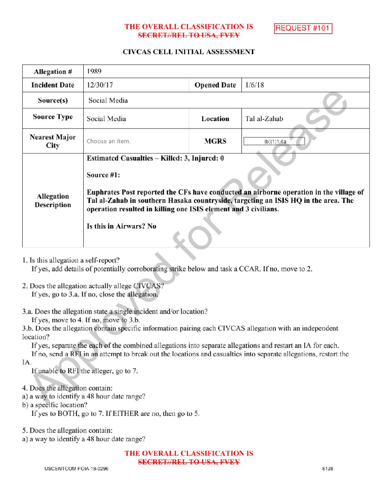## THE OVERALL CLASSIFICATION IS **SECRET//REL TO USA, FVEY**

REQUEST #101

## CIVCAS CELL INITIAL ASSESSMENT

| <b>Allegation #</b>          | 1989                                                                                                                                                                                                                                                                                                                                    |                    |              |
|------------------------------|-----------------------------------------------------------------------------------------------------------------------------------------------------------------------------------------------------------------------------------------------------------------------------------------------------------------------------------------|--------------------|--------------|
| <b>Incident Date</b>         | 12/30/17                                                                                                                                                                                                                                                                                                                                | <b>Opened Date</b> | 1/6/18       |
| Source(s)                    | Social Media                                                                                                                                                                                                                                                                                                                            |                    |              |
| <b>Source Type</b>           | Social Media                                                                                                                                                                                                                                                                                                                            | Location           | Tal al-Zahab |
| <b>Nearest Major</b><br>City | Choose an item.                                                                                                                                                                                                                                                                                                                         | <b>MGRS</b>        | (b)(1)1.4a   |
| Allegation<br>Description    | Estimated Casualties – Killed: 3, Injured: 0<br>Source #1:<br>Euphrates Post reported the CFs have conducted an airborne operation in the village of<br>Tal al-Zahab in southern Hasaka countryside, targeting an ISIS HQ in the area. The<br>operation resulted in killing one ISIS element and 3 civilians.<br>Is this in Airwars? No |                    |              |

1. Is this allegation a self-report?

If yes, add details of potentially corroborating strike below and task a CCAR. If no, move to 2.

- 2. Does the allegation actually allege CIVCAS? If yes, go to 3.a. If no, close the allegation.
- 3.a. Does the allegation state a single incident and/or location? If yes, move to  $4$ . If no, move to  $3.b$ .

3.b. Does the allegation contain specific information pairing each CIVCAS allegation with an independent location?

If yes, separate the each of the combined allegations into separate allegations and restart an IA for each.

Ifno, send <sup>a</sup> RFI in an attempt to break out the locations and casualties into separate allegations , restart the IA.

If unable to RFI the alleger, go to 7.

4. Does the allegation contain:

- a) <sup>a</sup> way to identify a 48 hour date range?
- b) a specific location? a
	- If yes to BOTH, go to 7. If EITHER are no, then go to 5.

5. Does the allegation contain:

a) <sup>a</sup> way to identify a 48 hour date range?

THE OVERALL CLASSIFICATION IS SECRET//REL TO USA, FVEY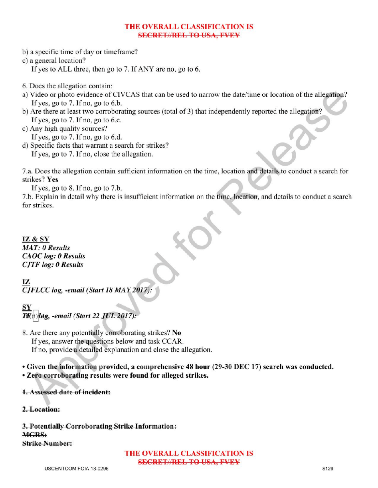## THE OVERALL CLASSIFICATION IS SECRETIAREL TO USA, FVEY

- b) a specific time of day or timeframe?
- c) <sup>a</sup> general location?
	- If yes to ALL three, then go to 7. If ANY are no, go to 6.
- 6. Does the allegation contain:
- a) Video or photo evidence of CIVCAS that can be used to narrow the date/time or location of the allegation? If yes, go to  $7.$  If no, go to  $6.b$ .
- b) Are there at least two corroborating sources (total of 3) that independently reported the allegation? If yes, go to  $7.$  If no, go to 6.c.
- c) Any high quality sources? If yes, go to  $7.$  If no, go to  $6.d.$
- d) Specific facts that warrant a search for strikes? If yes, go to 7. If no, close the allegation.

7.a. Does the allegation contain sufficient information on the time, location and details to conduct a search for strikes? Yes

Ifyes, go to 8. Ifno, go to 7.b.

7.b. Explain in detail why there is insufficient information on the time, location, and details to conduct a search for strikes.

IZ & SY MAT: 0 Results CAOC log: 0 Results **CJTF** log: 0 Results

IZ CJFLCC log, -email (Start 18 MAY 2017):

SY  $(1)$ leg, -email (Start 22 JUL 2017):

8. Are there any potentially corroborating strikes? No If yes, answer the questions below and task CCAR. If no, provide a detailed explanation and close the allegation.

• Given the information provided, a comprehensive 48 hour (29-30 DEC 17) search was conducted. • Zero corroborating results were found for alleged strikes.

1. Assessed date of incident:

2.Location:

3. Potentially Corroborating Strike Information: MGRS: **Strike Number:** 

> THE OVERALL CLASSIFICATION IS SECRET//REL TO USA, FVEY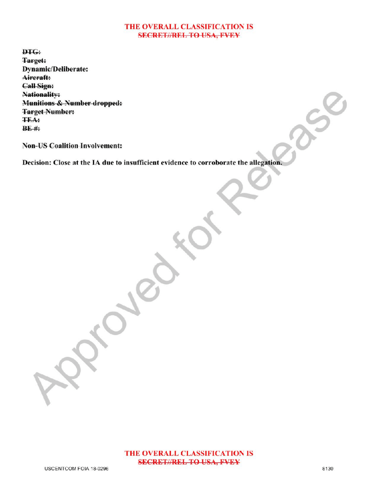## THE OVERALL CLASSIFICATION IS **SECRET//REL TO USA, FVEY**

 $f(x)$ 

DTG: Target: Dynamic/Deliberate: Aircraft: Call Sign: Nationality: Munitions & Number dropped: Target Number: TEA:  $BE$ #:

Non-US Coalition Involvement:

Decision: Close at the IA due to insufficient evidence to corroborate the allegation.

 $\mathcal{P}$